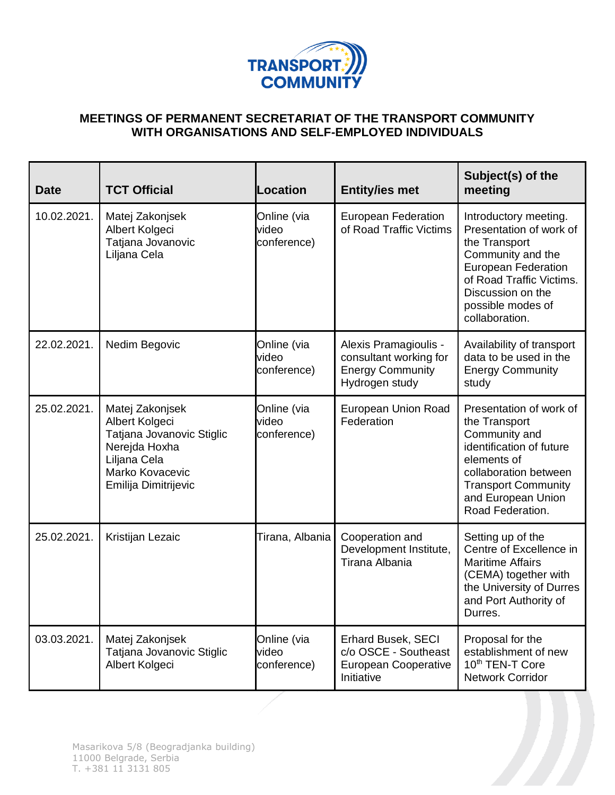

## **MEETINGS OF PERMANENT SECRETARIAT OF THE TRANSPORT COMMUNITY WITH ORGANISATIONS AND SELF-EMPLOYED INDIVIDUALS**

| <b>Date</b> | <b>TCT Official</b>                                                                                                                        | Location                            | <b>Entity/ies met</b>                                                                        | Subject(s) of the<br>meeting                                                                                                                                                                                 |
|-------------|--------------------------------------------------------------------------------------------------------------------------------------------|-------------------------------------|----------------------------------------------------------------------------------------------|--------------------------------------------------------------------------------------------------------------------------------------------------------------------------------------------------------------|
| 10.02.2021. | Matej Zakonjsek<br>Albert Kolgeci<br>Tatjana Jovanovic<br>Liljana Cela                                                                     | Online (via<br>video<br>conference) | European Federation<br>of Road Traffic Victims                                               | Introductory meeting.<br>Presentation of work of<br>the Transport<br>Community and the<br><b>European Federation</b><br>of Road Traffic Victims.<br>Discussion on the<br>possible modes of<br>collaboration. |
| 22.02.2021. | Nedim Begovic                                                                                                                              | Online (via<br>video<br>conference) | Alexis Pramagioulis -<br>consultant working for<br><b>Energy Community</b><br>Hydrogen study | Availability of transport<br>data to be used in the<br><b>Energy Community</b><br>study                                                                                                                      |
| 25.02.2021. | Matej Zakonjsek<br>Albert Kolgeci<br>Tatjana Jovanovic Stiglic<br>Nerejda Hoxha<br>Liljana Cela<br>Marko Kovacevic<br>Emilija Dimitrijevic | Online (via<br>video<br>conference) | European Union Road<br>Federation                                                            | Presentation of work of<br>the Transport<br>Community and<br>identification of future<br>elements of<br>collaboration between<br><b>Transport Community</b><br>and European Union<br>Road Federation.        |
| 25.02.2021. | Kristijan Lezaic                                                                                                                           | Tirana, Albania                     | Cooperation and<br>Development Institute,<br>Tirana Albania                                  | Setting up of the<br>Centre of Excellence in<br><b>Maritime Affairs</b><br>(CEMA) together with<br>the University of Durres<br>and Port Authority of<br>Durres.                                              |
| 03.03.2021. | Matej Zakonjsek<br>Tatjana Jovanovic Stiglic<br>Albert Kolgeci                                                                             | Online (via<br>video<br>conference) | Erhard Busek, SECI<br>c/o OSCE - Southeast<br><b>European Cooperative</b><br>Initiative      | Proposal for the<br>establishment of new<br>10 <sup>th</sup> TEN-T Core<br><b>Network Corridor</b>                                                                                                           |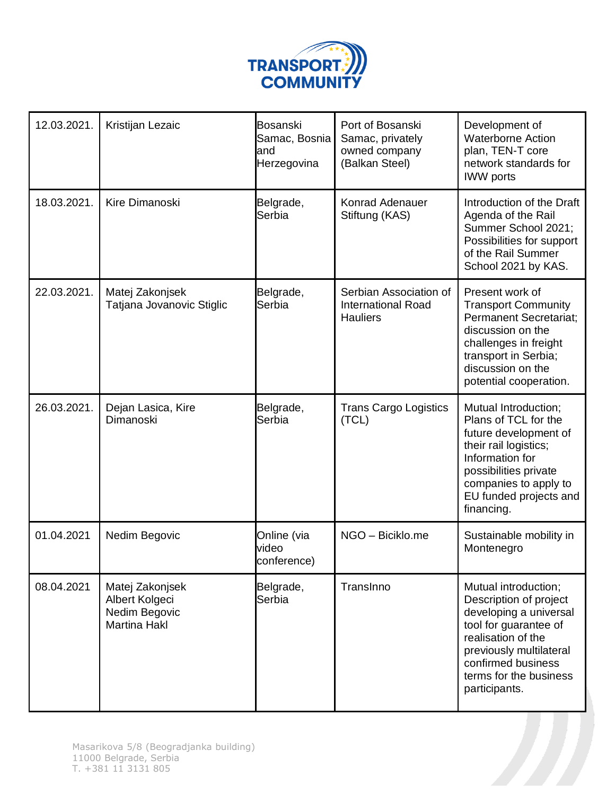

| 12.03.2021. | Kristijan Lezaic                                                          | Bosanski<br>Samac, Bosnia<br>and<br>Herzegovina | Port of Bosanski<br>Samac, privately<br>owned company<br>(Balkan Steel) | Development of<br><b>Waterborne Action</b><br>plan, TEN-T core<br>network standards for<br><b>IWW</b> ports                                                                                                         |
|-------------|---------------------------------------------------------------------------|-------------------------------------------------|-------------------------------------------------------------------------|---------------------------------------------------------------------------------------------------------------------------------------------------------------------------------------------------------------------|
| 18.03.2021. | Kire Dimanoski                                                            | Belgrade,<br>Serbia                             | Konrad Adenauer<br>Stiftung (KAS)                                       | Introduction of the Draft<br>Agenda of the Rail<br>Summer School 2021;<br>Possibilities for support<br>of the Rail Summer<br>School 2021 by KAS.                                                                    |
| 22.03.2021. | Matej Zakonjsek<br>Tatjana Jovanovic Stiglic                              | Belgrade,<br>Serbia                             | Serbian Association of<br><b>International Road</b><br><b>Hauliers</b>  | Present work of<br><b>Transport Community</b><br><b>Permanent Secretariat;</b><br>discussion on the<br>challenges in freight<br>transport in Serbia;<br>discussion on the<br>potential cooperation.                 |
| 26.03.2021. | Dejan Lasica, Kire<br>Dimanoski                                           | Belgrade,<br>Serbia                             | <b>Trans Cargo Logistics</b><br>(TCL)                                   | Mutual Introduction;<br>Plans of TCL for the<br>future development of<br>their rail logistics;<br>Information for<br>possibilities private<br>companies to apply to<br>EU funded projects and<br>financing.         |
| 01.04.2021  | Nedim Begovic                                                             | Online (via<br>video<br>conference)             | NGO - Biciklo.me                                                        | Sustainable mobility in<br>Montenegro                                                                                                                                                                               |
| 08.04.2021  | Matej Zakonjsek<br>Albert Kolgeci<br>Nedim Begovic<br><b>Martina Hakl</b> | Belgrade,<br>Serbia                             | TransInno                                                               | Mutual introduction;<br>Description of project<br>developing a universal<br>tool for guarantee of<br>realisation of the<br>previously multilateral<br>confirmed business<br>terms for the business<br>participants. |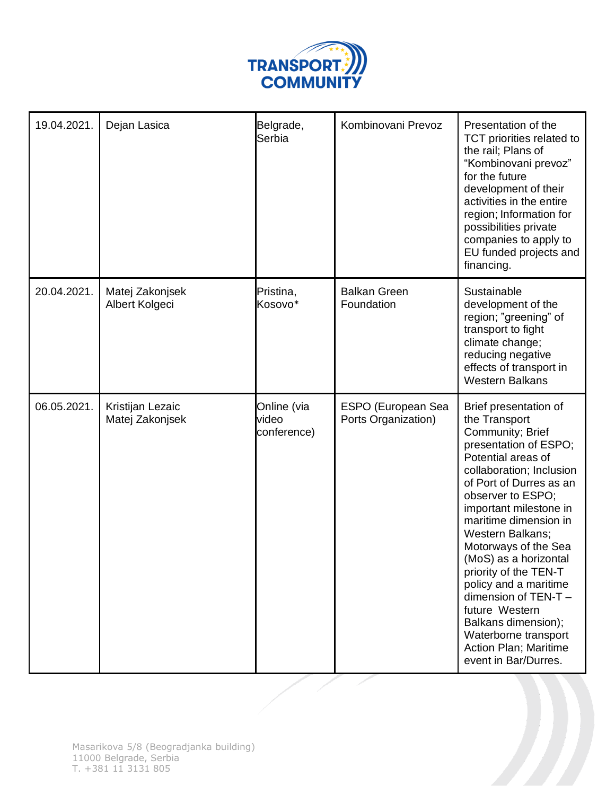

| 19.04.2021. | Dejan Lasica                        | Belgrade,<br>Serbia                 | Kombinovani Prevoz                        | Presentation of the<br>TCT priorities related to<br>the rail; Plans of<br>"Kombinovani prevoz"<br>for the future<br>development of their<br>activities in the entire<br>region; Information for<br>possibilities private<br>companies to apply to<br>EU funded projects and<br>financing.                                                                                                                                                                                                                 |
|-------------|-------------------------------------|-------------------------------------|-------------------------------------------|-----------------------------------------------------------------------------------------------------------------------------------------------------------------------------------------------------------------------------------------------------------------------------------------------------------------------------------------------------------------------------------------------------------------------------------------------------------------------------------------------------------|
| 20.04.2021. | Matej Zakonjsek<br>Albert Kolgeci   | Pristina,<br>Kosovo*                | <b>Balkan Green</b><br>Foundation         | Sustainable<br>development of the<br>region; "greening" of<br>transport to fight<br>climate change;<br>reducing negative<br>effects of transport in<br><b>Western Balkans</b>                                                                                                                                                                                                                                                                                                                             |
| 06.05.2021. | Kristijan Lezaic<br>Matej Zakonjsek | Online (via<br>video<br>conference) | ESPO (European Sea<br>Ports Organization) | Brief presentation of<br>the Transport<br>Community; Brief<br>presentation of ESPO;<br>Potential areas of<br>collaboration; Inclusion<br>of Port of Durres as an<br>observer to ESPO;<br>important milestone in<br>maritime dimension in<br>Western Balkans;<br>Motorways of the Sea<br>(MoS) as a horizontal<br>priority of the TEN-T<br>policy and a maritime<br>dimension of TEN-T -<br>future Western<br>Balkans dimension);<br>Waterborne transport<br>Action Plan; Maritime<br>event in Bar/Durres. |

╱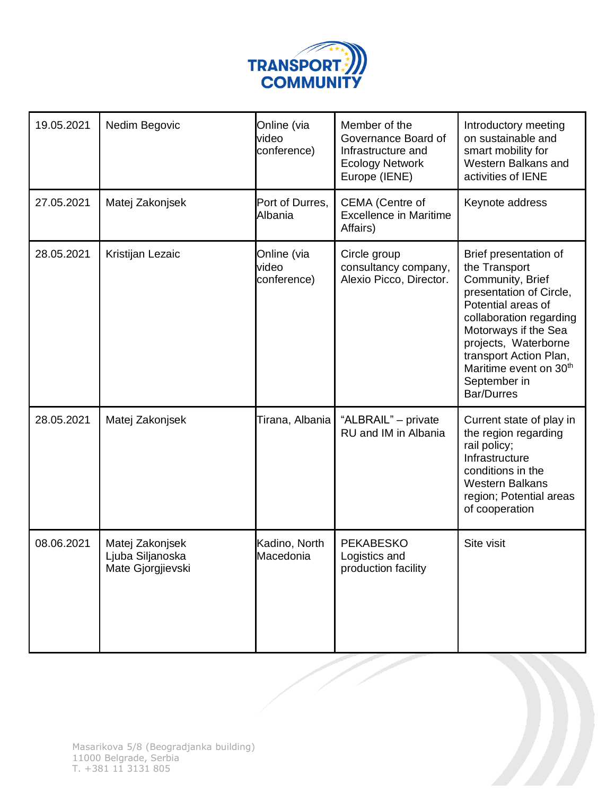

| 19.05.2021 | Nedim Begovic                                            | Online (via<br>video<br>conference) | Member of the<br>Governance Board of<br>Infrastructure and<br><b>Ecology Network</b><br>Europe (IENE) | Introductory meeting<br>on sustainable and<br>smart mobility for<br>Western Balkans and<br>activities of IENE                                                                                                                                                                               |
|------------|----------------------------------------------------------|-------------------------------------|-------------------------------------------------------------------------------------------------------|---------------------------------------------------------------------------------------------------------------------------------------------------------------------------------------------------------------------------------------------------------------------------------------------|
| 27.05.2021 | Matej Zakonjsek                                          | Port of Durres,<br>Albania          | CEMA (Centre of<br><b>Excellence in Maritime</b><br>Affairs)                                          | Keynote address                                                                                                                                                                                                                                                                             |
| 28.05.2021 | Kristijan Lezaic                                         | Online (via<br>video<br>conference) | Circle group<br>consultancy company,<br>Alexio Picco, Director.                                       | Brief presentation of<br>the Transport<br>Community, Brief<br>presentation of Circle,<br>Potential areas of<br>collaboration regarding<br>Motorways if the Sea<br>projects, Waterborne<br>transport Action Plan,<br>Maritime event on 30 <sup>th</sup><br>September in<br><b>Bar/Durres</b> |
| 28.05.2021 | Matej Zakonjsek                                          | Tirana, Albania                     | "ALBRAIL" - private<br>RU and IM in Albania                                                           | Current state of play in<br>the region regarding<br>rail policy;<br>Infrastructure<br>conditions in the<br><b>Western Balkans</b><br>region; Potential areas<br>of cooperation                                                                                                              |
| 08.06.2021 | Matej Zakonjsek<br>Ljuba Siljanoska<br>Mate Gjorgjievski | Kadino, North<br>Macedonia          | <b>PEKABESKO</b><br>Logistics and<br>production facility                                              | Site visit                                                                                                                                                                                                                                                                                  |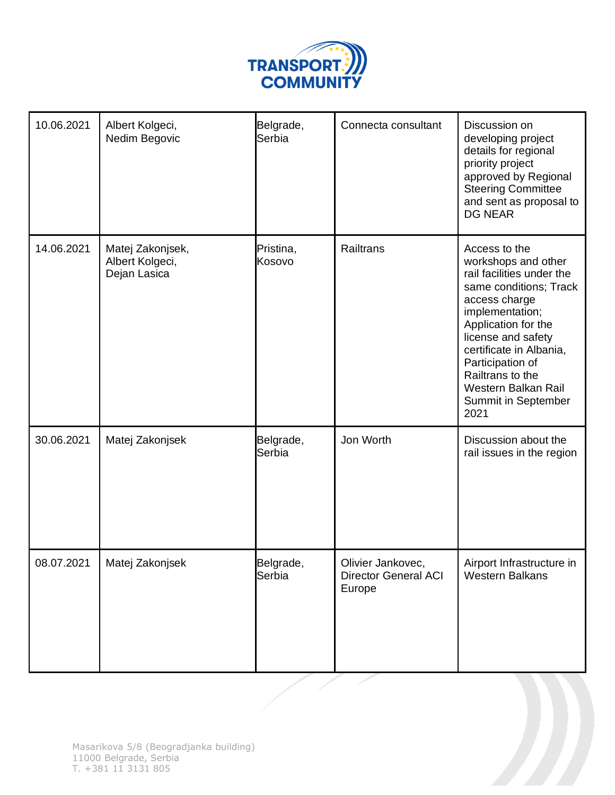

| 10.06.2021 | Albert Kolgeci,<br>Nedim Begovic                    | Belgrade,<br>Serbia | Connecta consultant                                        | Discussion on<br>developing project<br>details for regional<br>priority project<br>approved by Regional<br><b>Steering Committee</b><br>and sent as proposal to<br><b>DG NEAR</b>                                                                                                                     |
|------------|-----------------------------------------------------|---------------------|------------------------------------------------------------|-------------------------------------------------------------------------------------------------------------------------------------------------------------------------------------------------------------------------------------------------------------------------------------------------------|
| 14.06.2021 | Matej Zakonjsek,<br>Albert Kolgeci,<br>Dejan Lasica | Pristina,<br>Kosovo | Railtrans                                                  | Access to the<br>workshops and other<br>rail facilities under the<br>same conditions; Track<br>access charge<br>implementation;<br>Application for the<br>license and safety<br>certificate in Albania,<br>Participation of<br>Railtrans to the<br>Western Balkan Rail<br>Summit in September<br>2021 |
| 30.06.2021 | Matej Zakonjsek                                     | Belgrade,<br>Serbia | Jon Worth                                                  | Discussion about the<br>rail issues in the region                                                                                                                                                                                                                                                     |
| 08.07.2021 | Matej Zakonjsek                                     | Belgrade,<br>Serbia | Olivier Jankovec,<br><b>Director General ACI</b><br>Europe | Airport Infrastructure in<br><b>Western Balkans</b>                                                                                                                                                                                                                                                   |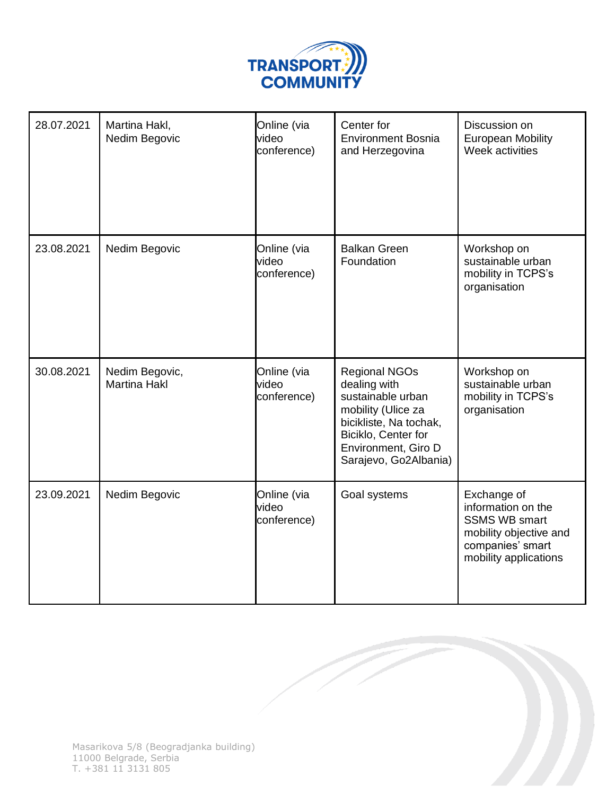

| 28.07.2021 | Martina Hakl,<br>Nedim Begovic        | Online (via<br>video<br>conference) | Center for<br><b>Environment Bosnia</b><br>and Herzegovina                                                                                                                       | Discussion on<br><b>European Mobility</b><br>Week activities                                                                     |
|------------|---------------------------------------|-------------------------------------|----------------------------------------------------------------------------------------------------------------------------------------------------------------------------------|----------------------------------------------------------------------------------------------------------------------------------|
| 23.08.2021 | Nedim Begovic                         | Online (via<br>video<br>conference) | <b>Balkan Green</b><br>Foundation                                                                                                                                                | Workshop on<br>sustainable urban<br>mobility in TCPS's<br>organisation                                                           |
| 30.08.2021 | Nedim Begovic,<br><b>Martina Hakl</b> | Online (via<br>video<br>conference) | <b>Regional NGOs</b><br>dealing with<br>sustainable urban<br>mobility (Ulice za<br>bicikliste, Na tochak,<br>Biciklo, Center for<br>Environment, Giro D<br>Sarajevo, Go2Albania) | Workshop on<br>sustainable urban<br>mobility in TCPS's<br>organisation                                                           |
| 23.09.2021 | Nedim Begovic                         | Online (via<br>video<br>conference) | Goal systems                                                                                                                                                                     | Exchange of<br>information on the<br><b>SSMS WB smart</b><br>mobility objective and<br>companies' smart<br>mobility applications |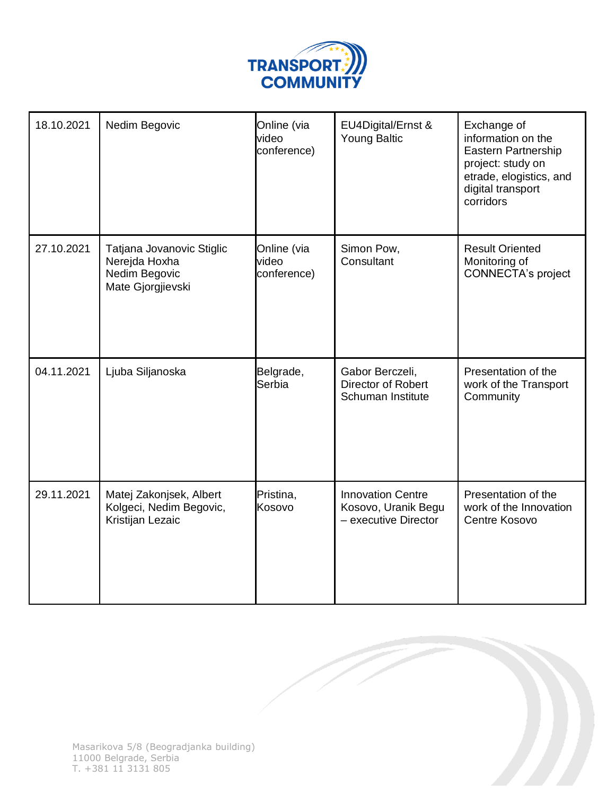

| 18.10.2021 | Nedim Begovic                                                                    | Online (via<br>video<br>conference) | EU4Digital/Ernst &<br><b>Young Baltic</b>                               | Exchange of<br>information on the<br>Eastern Partnership<br>project: study on<br>etrade, elogistics, and<br>digital transport<br>corridors |
|------------|----------------------------------------------------------------------------------|-------------------------------------|-------------------------------------------------------------------------|--------------------------------------------------------------------------------------------------------------------------------------------|
| 27.10.2021 | Tatjana Jovanovic Stiglic<br>Nerejda Hoxha<br>Nedim Begovic<br>Mate Gjorgjievski | Online (via<br>video<br>conference) | Simon Pow,<br>Consultant                                                | <b>Result Oriented</b><br>Monitoring of<br><b>CONNECTA's project</b>                                                                       |
| 04.11.2021 | Ljuba Siljanoska                                                                 | Belgrade,<br>Serbia                 | Gabor Berczeli,<br><b>Director of Robert</b><br>Schuman Institute       | Presentation of the<br>work of the Transport<br>Community                                                                                  |
| 29.11.2021 | Matej Zakonjsek, Albert<br>Kolgeci, Nedim Begovic,<br>Kristijan Lezaic           | Pristina,<br>Kosovo                 | <b>Innovation Centre</b><br>Kosovo, Uranik Begu<br>- executive Director | Presentation of the<br>work of the Innovation<br>Centre Kosovo                                                                             |

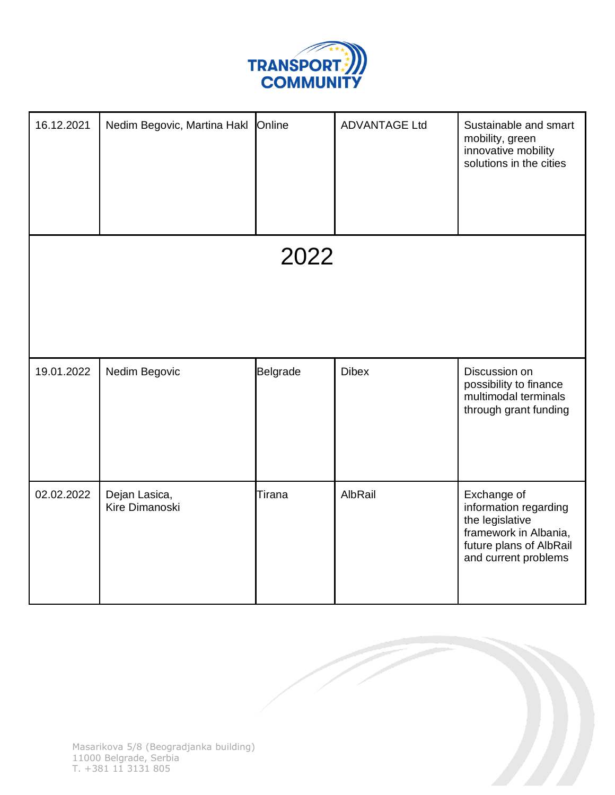

| 16.12.2021 | Nedim Begovic, Martina Hakl     | Online          | <b>ADVANTAGE Ltd</b> | Sustainable and smart<br>mobility, green<br>innovative mobility<br>solutions in the cities                                          |
|------------|---------------------------------|-----------------|----------------------|-------------------------------------------------------------------------------------------------------------------------------------|
|            |                                 | 2022            |                      |                                                                                                                                     |
| 19.01.2022 | Nedim Begovic                   | <b>Belgrade</b> | <b>Dibex</b>         | Discussion on<br>possibility to finance<br>multimodal terminals<br>through grant funding                                            |
| 02.02.2022 | Dejan Lasica,<br>Kire Dimanoski | Tirana          | AlbRail              | Exchange of<br>information regarding<br>the legislative<br>framework in Albania,<br>future plans of AlbRail<br>and current problems |

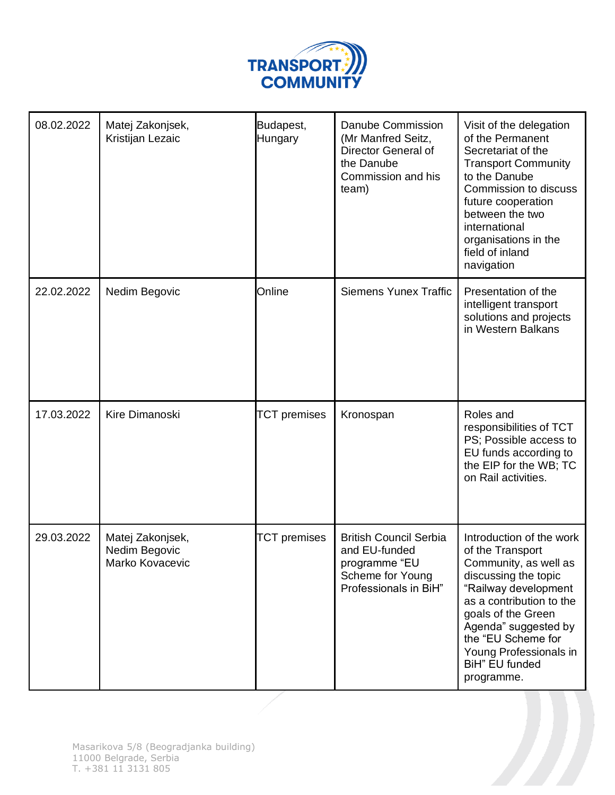

| 08.02.2022 | Matej Zakonjsek,<br>Kristijan Lezaic                 | Budapest,<br>Hungary | Danube Commission<br>(Mr Manfred Seitz,<br>Director General of<br>the Danube<br>Commission and his<br>team)  | Visit of the delegation<br>of the Permanent<br>Secretariat of the<br><b>Transport Community</b><br>to the Danube<br>Commission to discuss<br>future cooperation<br>between the two<br>international<br>organisations in the<br>field of inland<br>navigation                    |
|------------|------------------------------------------------------|----------------------|--------------------------------------------------------------------------------------------------------------|---------------------------------------------------------------------------------------------------------------------------------------------------------------------------------------------------------------------------------------------------------------------------------|
| 22.02.2022 | Nedim Begovic                                        | Online               | <b>Siemens Yunex Traffic</b>                                                                                 | Presentation of the<br>intelligent transport<br>solutions and projects<br>in Western Balkans                                                                                                                                                                                    |
| 17.03.2022 | Kire Dimanoski                                       | <b>TCT</b> premises  | Kronospan                                                                                                    | Roles and<br>responsibilities of TCT<br>PS; Possible access to<br>EU funds according to<br>the EIP for the WB; TC<br>on Rail activities.                                                                                                                                        |
| 29.03.2022 | Matej Zakonjsek,<br>Nedim Begovic<br>Marko Kovacevic | <b>TCT</b> premises  | <b>British Council Serbia</b><br>and EU-funded<br>programme "EU<br>Scheme for Young<br>Professionals in BiH" | Introduction of the work<br>of the Transport<br>Community, as well as<br>discussing the topic<br>"Railway development<br>as a contribution to the<br>goals of the Green<br>Agenda" suggested by<br>the "EU Scheme for<br>Young Professionals in<br>BiH" EU funded<br>programme. |

 $\boldsymbol{\eta}$